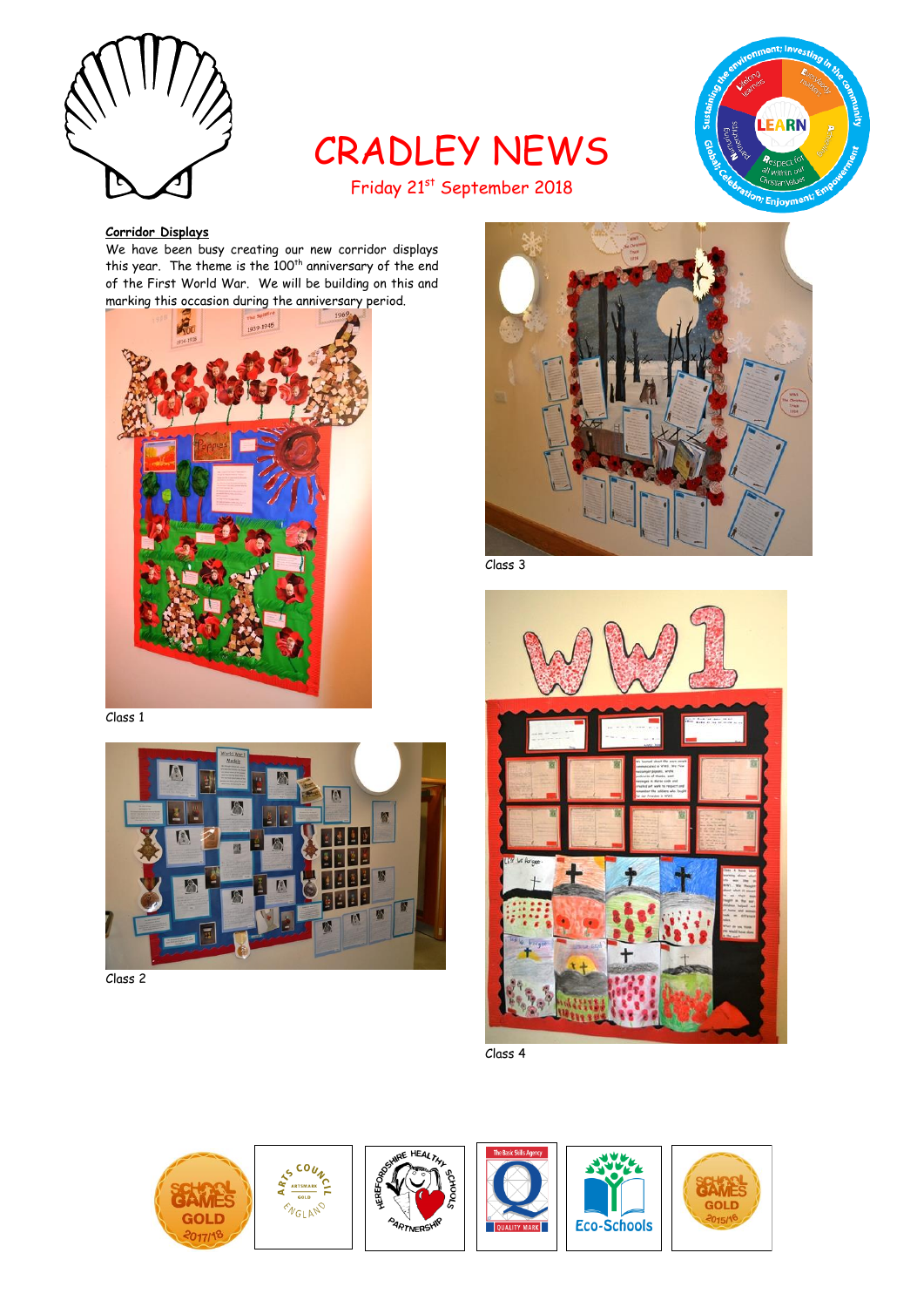

# CRADLEY NEWS Friday 21st September 2018



# **Corridor Displays**

We have been busy creating our new corridor displays this year. The theme is the 100<sup>th</sup> anniversary of the end of the First World War. We will be building on this and marking this occasion during the anniversary period.



Class 1



Class 2



Class 3



Class 4





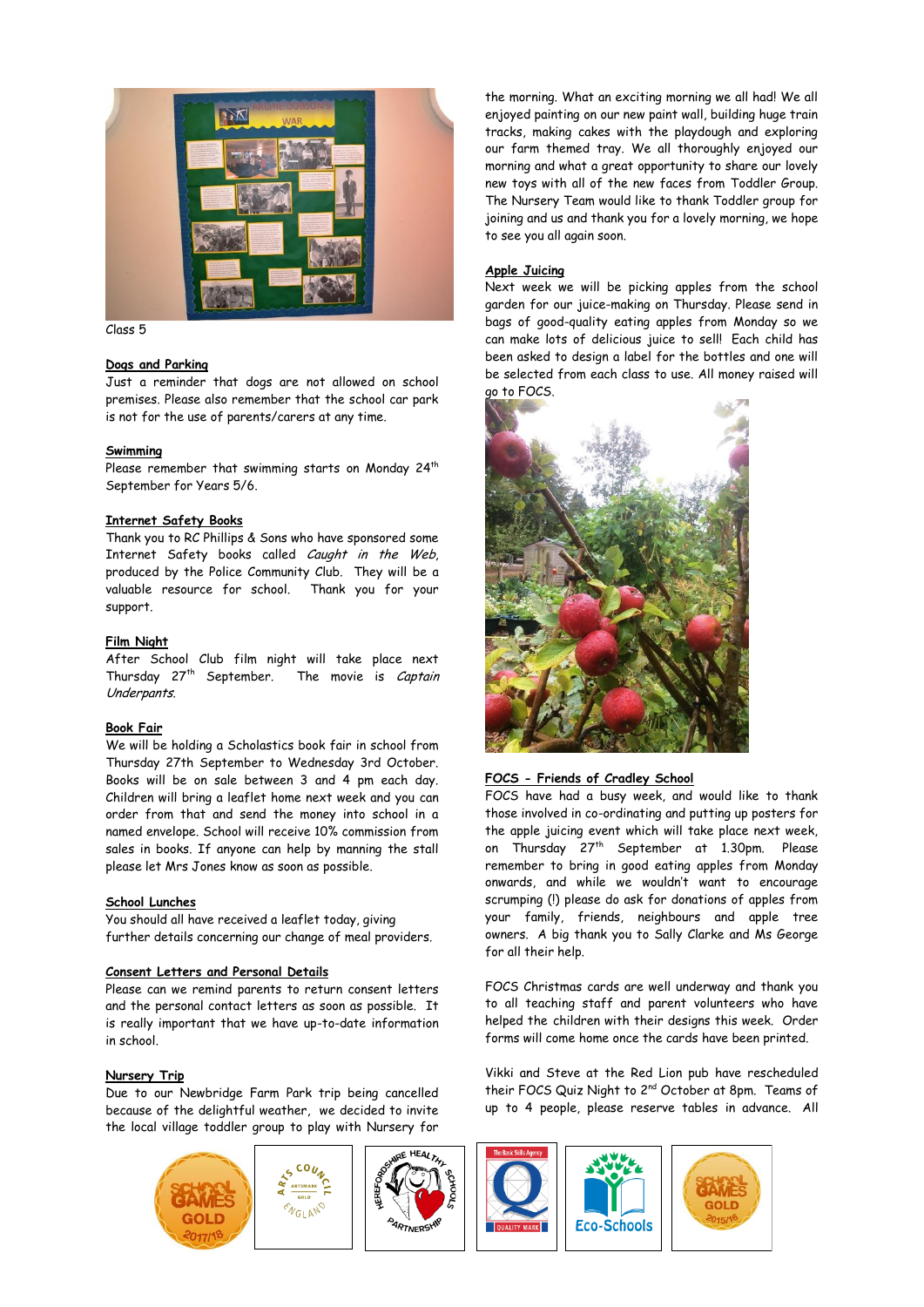

Class 5

# **Dogs and Parking**

Just a reminder that dogs are not allowed on school premises. Please also remember that the school car park is not for the use of parents/carers at any time.

## **Swimming**

Please remember that swimming starts on Monday  $24<sup>th</sup>$ September for Years 5/6.

# **Internet Safety Books**

Thank you to RC Phillips & Sons who have sponsored some Internet Safety books called Caught in the Web, produced by the Police Community Club. They will be a valuable resource for school. Thank you for your support.

# **Film Night**

After School Club film night will take place next Thursday 27<sup>th</sup> September. The movie is Captain Underpants.

# **Book Fair**

We will be holding a Scholastics book fair in school from Thursday 27th September to Wednesday 3rd October. Books will be on sale between 3 and 4 pm each day. Children will bring a leaflet home next week and you can order from that and send the money into school in a named envelope. School will receive 10% commission from sales in books. If anyone can help by manning the stall please let Mrs Jones know as soon as possible.

# **School Lunches**

You should all have received a leaflet today, giving further details concerning our change of meal providers.

## **Consent Letters and Personal Details**

Please can we remind parents to return consent letters and the personal contact letters as soon as possible. It is really important that we have up-to-date information in school.

# **Nursery Trip**

Due to our Newbridge Farm Park trip being cancelled because of the delightful weather, we decided to invite the local village toddler group to play with Nursery for

the morning. What an exciting morning we all had! We all enjoyed painting on our new paint wall, building huge train tracks, making cakes with the playdough and exploring our farm themed tray. We all thoroughly enjoyed our morning and what a great opportunity to share our lovely new toys with all of the new faces from Toddler Group. The Nursery Team would like to thank Toddler group for joining and us and thank you for a lovely morning, we hope to see you all again soon.

# **Apple Juicing**

Next week we will be picking apples from the school garden for our juice-making on Thursday. Please send in bags of good-quality eating apples from Monday so we can make lots of delicious juice to sell! Each child has been asked to design a label for the bottles and one will be selected from each class to use. All money raised will go to FOCS.



## **FOCS - Friends of Cradley School**

FOCS have had a busy week, and would like to thank those involved in co-ordinating and putting up posters for the apple juicing event which will take place next week, on Thursday 27<sup>th</sup> September at 1.30pm. Please remember to bring in good eating apples from Monday onwards, and while we wouldn't want to encourage scrumping (!) please do ask for donations of apples from your family, friends, neighbours and apple tree owners. A big thank you to Sally Clarke and Ms George for all their help.

FOCS Christmas cards are well underway and thank you to all teaching staff and parent volunteers who have helped the children with their designs this week. Order forms will come home once the cards have been printed.

Vikki and Steve at the Red Lion pub have rescheduled their FOCS Quiz Night to 2<sup>nd</sup> October at 8pm. Teams of up to 4 people, please reserve tables in advance. All

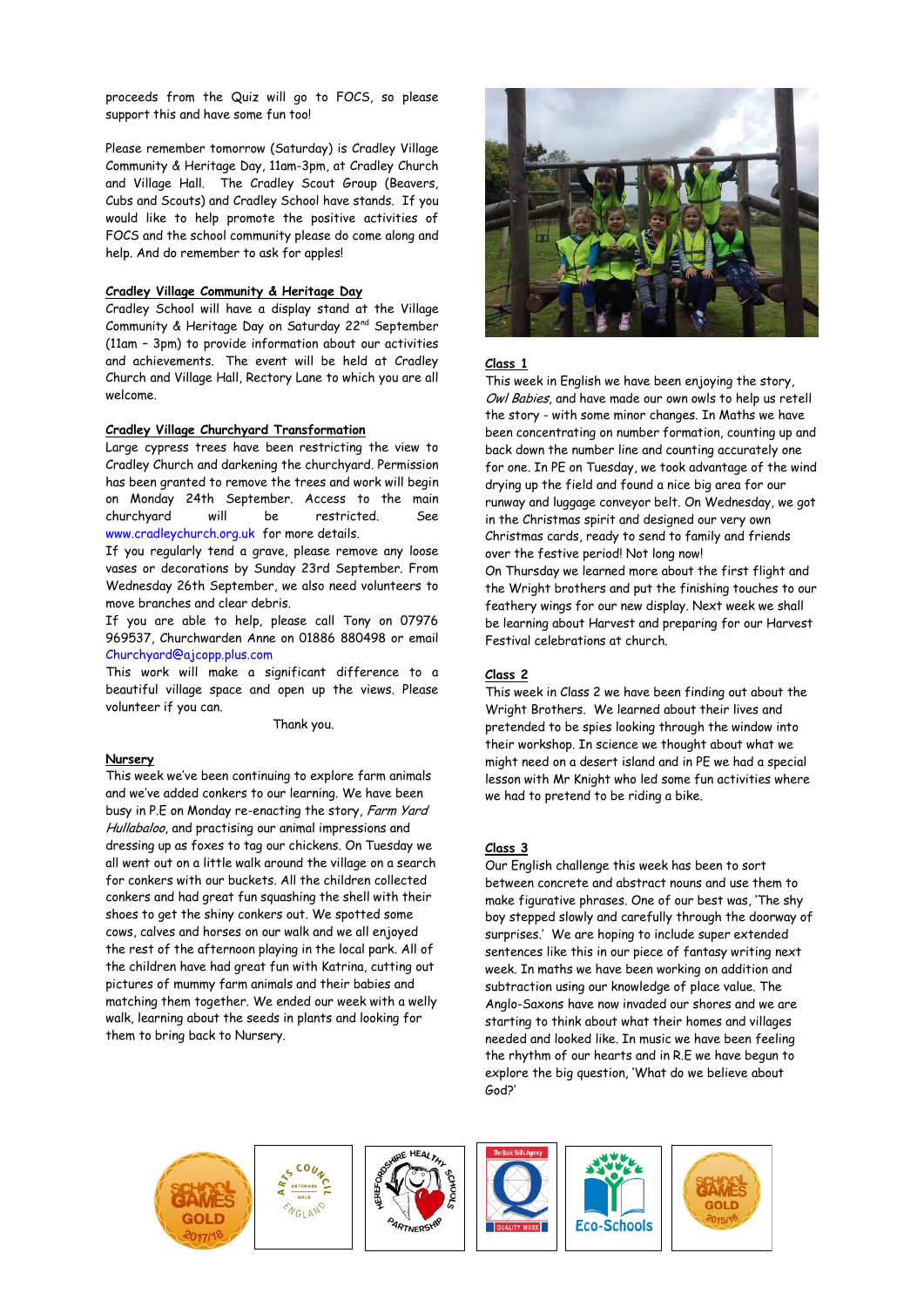proceeds from the Quiz will go to FOCS, so please support this and have some fun too!

Please remember tomorrow (Saturday) is Cradley Village Community & Heritage Day, 11am-3pm, at Cradley Church and Village Hall. The Cradley Scout Group (Beavers, Cubs and Scouts) and Cradley School have stands. If you would like to help promote the positive activities of FOCS and the school community please do come along and help. And do remember to ask for apples!

## **Cradley Village Community & Heritage Day**

Cradley School will have a display stand at the Village Community & Heritage Day on Saturday 22nd September (11am – 3pm) to provide information about our activities and achievements. The event will be held at Cradley Church and Village Hall, Rectory Lane to which you are all welcome.

#### **Cradley Village Churchyard Transformation**

Large cypress trees have been restricting the view to Cradley Church and darkening the churchyard. Permission has been granted to remove the trees and work will begin on Monday 24th September. Access to the main churchyard will be restricted. See [www.cradleychurch.org.uk](http://www.cradleychurch.org.uk/) for more details.

If you regularly tend a grave, please remove any loose vases or decorations by Sunday 23rd September. From Wednesday 26th September, we also need volunteers to move branches and clear debris.

If you are able to help, please call Tony on 07976 969537, Churchwarden Anne on 01886 880498 or email [Churchyard@ajcopp.plus.com](mailto:Churchyard@ajcopp.plus.com)

This work will make a significant difference to a beautiful village space and open up the views. Please volunteer if you can.

Thank you.

## **Nursery**

This week we've been continuing to explore farm animals and we've added conkers to our learning. We have been busy in P.E on Monday re-enacting the story, Farm Yard Hullabaloo, and practising our animal impressions and dressing up as foxes to tag our chickens. On Tuesday we all went out on a little walk around the village on a search for conkers with our buckets. All the children collected conkers and had great fun squashing the shell with their shoes to get the shiny conkers out. We spotted some cows, calves and horses on our walk and we all enjoyed the rest of the afternoon playing in the local park. All of the children have had great fun with Katrina, cutting out pictures of mummy farm animals and their babies and matching them together. We ended our week with a welly walk, learning about the seeds in plants and looking for them to bring back to Nursery.



#### **Class 1**

This week in English we have been enjoying the story, Owl Babies, and have made our own owls to help us retell the story - with some minor changes. In Maths we have been concentrating on number formation, counting up and back down the number line and counting accurately one for one. In PE on Tuesday, we took advantage of the wind drying up the field and found a nice big area for our runway and luggage conveyor belt. On Wednesday, we got in the Christmas spirit and designed our very own Christmas cards, ready to send to family and friends over the festive period! Not long now! On Thursday we learned more about the first flight and the Wright brothers and put the finishing touches to our feathery wings for our new display. Next week we shall be learning about Harvest and preparing for our Harvest Festival celebrations at church.

#### **Class 2**

This week in Class 2 we have been finding out about the Wright Brothers. We learned about their lives and pretended to be spies looking through the window into their workshop. In science we thought about what we might need on a desert island and in PE we had a special lesson with Mr Knight who led some fun activities where we had to pretend to be riding a bike.

#### **Class 3**

Our English challenge this week has been to sort between concrete and abstract nouns and use them to make figurative phrases. One of our best was, 'The shy boy stepped slowly and carefully through the doorway of surprises.' We are hoping to include super extended sentences like this in our piece of fantasy writing next week. In maths we have been working on addition and subtraction using our knowledge of place value. The Anglo-Saxons have now invaded our shores and we are starting to think about what their homes and villages needed and looked like. In music we have been feeling the rhythm of our hearts and in R.E we have begun to explore the big question, 'What do we believe about God?'